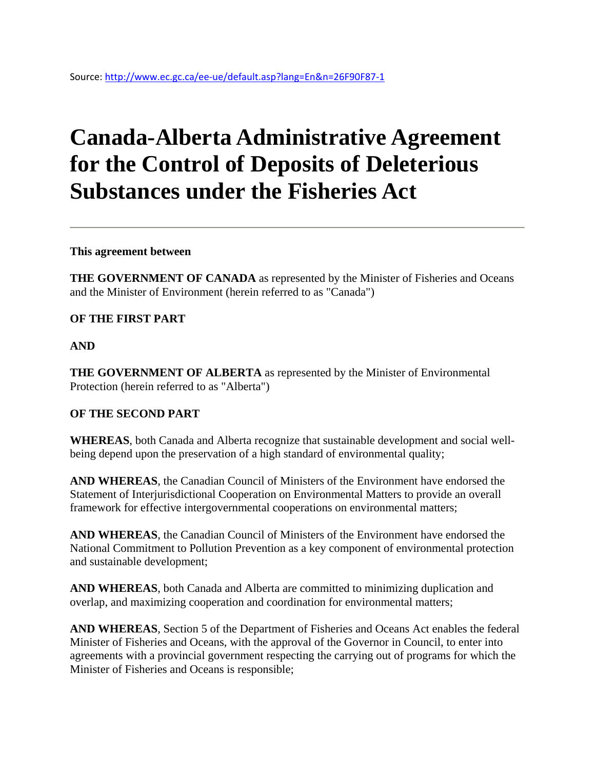# **Canada-Alberta Administrative Agreement for the Control of Deposits of Deleterious Substances under the Fisheries Act**

**This agreement between**

**THE GOVERNMENT OF CANADA** as represented by the Minister of Fisheries and Oceans and the Minister of Environment (herein referred to as "Canada")

#### **OF THE FIRST PART**

#### **AND**

**THE GOVERNMENT OF ALBERTA** as represented by the Minister of Environmental Protection (herein referred to as "Alberta")

#### **OF THE SECOND PART**

**WHEREAS**, both Canada and Alberta recognize that sustainable development and social wellbeing depend upon the preservation of a high standard of environmental quality;

**AND WHEREAS**, the Canadian Council of Ministers of the Environment have endorsed the Statement of Interjurisdictional Cooperation on Environmental Matters to provide an overall framework for effective intergovernmental cooperations on environmental matters;

**AND WHEREAS**, the Canadian Council of Ministers of the Environment have endorsed the National Commitment to Pollution Prevention as a key component of environmental protection and sustainable development;

**AND WHEREAS**, both Canada and Alberta are committed to minimizing duplication and overlap, and maximizing cooperation and coordination for environmental matters;

**AND WHEREAS**, Section 5 of the Department of Fisheries and Oceans Act enables the federal Minister of Fisheries and Oceans, with the approval of the Governor in Council, to enter into agreements with a provincial government respecting the carrying out of programs for which the Minister of Fisheries and Oceans is responsible;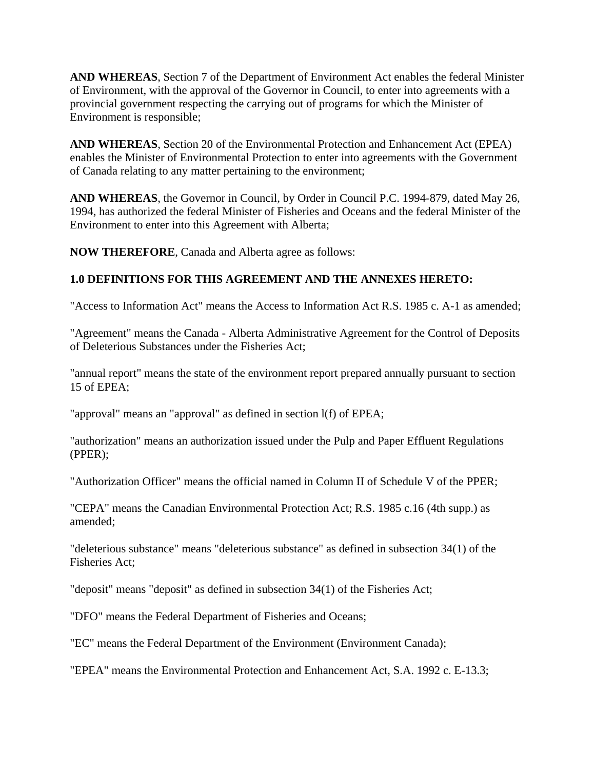**AND WHEREAS**, Section 7 of the Department of Environment Act enables the federal Minister of Environment, with the approval of the Governor in Council, to enter into agreements with a provincial government respecting the carrying out of programs for which the Minister of Environment is responsible;

**AND WHEREAS**, Section 20 of the Environmental Protection and Enhancement Act (EPEA) enables the Minister of Environmental Protection to enter into agreements with the Government of Canada relating to any matter pertaining to the environment;

**AND WHEREAS**, the Governor in Council, by Order in Council P.C. 1994-879, dated May 26, 1994, has authorized the federal Minister of Fisheries and Oceans and the federal Minister of the Environment to enter into this Agreement with Alberta;

**NOW THEREFORE**, Canada and Alberta agree as follows:

#### **1.0 DEFINITIONS FOR THIS AGREEMENT AND THE ANNEXES HERETO:**

"Access to Information Act" means the Access to Information Act R.S. 1985 c. A-1 as amended;

"Agreement" means the Canada - Alberta Administrative Agreement for the Control of Deposits of Deleterious Substances under the Fisheries Act;

"annual report" means the state of the environment report prepared annually pursuant to section 15 of EPEA;

"approval" means an "approval" as defined in section l(f) of EPEA;

"authorization" means an authorization issued under the Pulp and Paper Effluent Regulations (PPER);

"Authorization Officer" means the official named in Column II of Schedule V of the PPER;

"CEPA" means the Canadian Environmental Protection Act; R.S. 1985 c.16 (4th supp.) as amended;

"deleterious substance" means "deleterious substance" as defined in subsection 34(1) of the Fisheries Act;

"deposit" means "deposit" as defined in subsection 34(1) of the Fisheries Act;

"DFO" means the Federal Department of Fisheries and Oceans;

"EC" means the Federal Department of the Environment (Environment Canada);

"EPEA" means the Environmental Protection and Enhancement Act, S.A. 1992 c. E-13.3;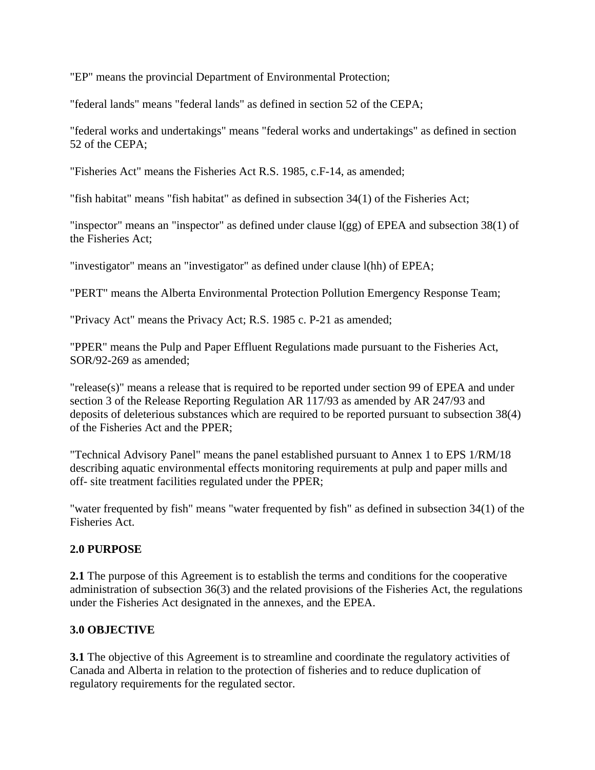"EP" means the provincial Department of Environmental Protection;

"federal lands" means "federal lands" as defined in section 52 of the CEPA;

"federal works and undertakings" means "federal works and undertakings" as defined in section 52 of the CEPA;

"Fisheries Act" means the Fisheries Act R.S. 1985, c.F-14, as amended;

"fish habitat" means "fish habitat" as defined in subsection 34(1) of the Fisheries Act;

"inspector" means an "inspector" as defined under clause l(gg) of EPEA and subsection 38(1) of the Fisheries Act;

"investigator" means an "investigator" as defined under clause l(hh) of EPEA;

"PERT" means the Alberta Environmental Protection Pollution Emergency Response Team;

"Privacy Act" means the Privacy Act; R.S. 1985 c. P-21 as amended;

"PPER" means the Pulp and Paper Effluent Regulations made pursuant to the Fisheries Act, SOR/92-269 as amended;

"release(s)" means a release that is required to be reported under section 99 of EPEA and under section 3 of the Release Reporting Regulation AR 117/93 as amended by AR 247/93 and deposits of deleterious substances which are required to be reported pursuant to subsection 38(4) of the Fisheries Act and the PPER;

"Technical Advisory Panel" means the panel established pursuant to Annex 1 to EPS 1/RM/18 describing aquatic environmental effects monitoring requirements at pulp and paper mills and off- site treatment facilities regulated under the PPER;

"water frequented by fish" means "water frequented by fish" as defined in subsection 34(1) of the Fisheries Act.

# **2.0 PURPOSE**

**2.1** The purpose of this Agreement is to establish the terms and conditions for the cooperative administration of subsection 36(3) and the related provisions of the Fisheries Act, the regulations under the Fisheries Act designated in the annexes, and the EPEA.

# **3.0 OBJECTIVE**

**3.1** The objective of this Agreement is to streamline and coordinate the regulatory activities of Canada and Alberta in relation to the protection of fisheries and to reduce duplication of regulatory requirements for the regulated sector.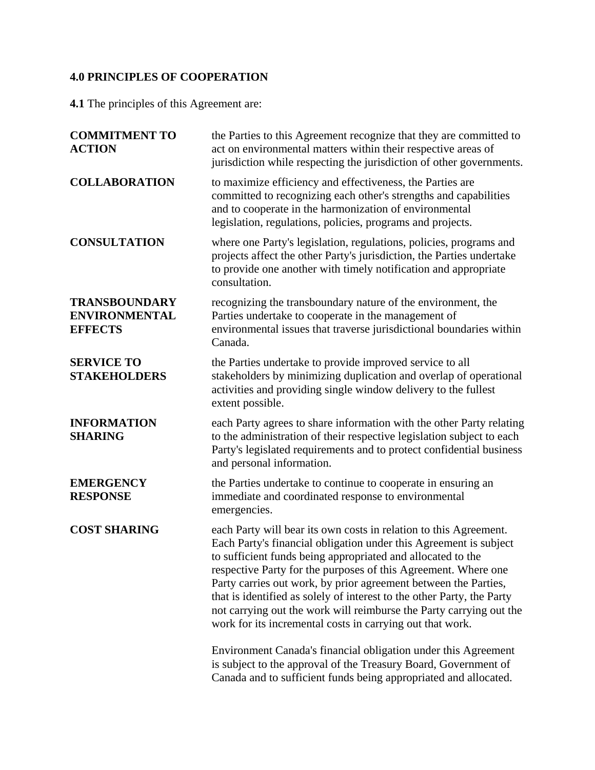# **4.0 PRINCIPLES OF COOPERATION**

**4.1** The principles of this Agreement are:

| <b>COMMITMENT TO</b><br><b>ACTION</b>                          | the Parties to this Agreement recognize that they are committed to<br>act on environmental matters within their respective areas of<br>jurisdiction while respecting the jurisdiction of other governments.                                                                                                                                                                                                                                                                                                                                              |
|----------------------------------------------------------------|----------------------------------------------------------------------------------------------------------------------------------------------------------------------------------------------------------------------------------------------------------------------------------------------------------------------------------------------------------------------------------------------------------------------------------------------------------------------------------------------------------------------------------------------------------|
| <b>COLLABORATION</b>                                           | to maximize efficiency and effectiveness, the Parties are<br>committed to recognizing each other's strengths and capabilities<br>and to cooperate in the harmonization of environmental<br>legislation, regulations, policies, programs and projects.                                                                                                                                                                                                                                                                                                    |
| <b>CONSULTATION</b>                                            | where one Party's legislation, regulations, policies, programs and<br>projects affect the other Party's jurisdiction, the Parties undertake<br>to provide one another with timely notification and appropriate<br>consultation.                                                                                                                                                                                                                                                                                                                          |
| <b>TRANSBOUNDARY</b><br><b>ENVIRONMENTAL</b><br><b>EFFECTS</b> | recognizing the transboundary nature of the environment, the<br>Parties undertake to cooperate in the management of<br>environmental issues that traverse jurisdictional boundaries within<br>Canada.                                                                                                                                                                                                                                                                                                                                                    |
| <b>SERVICE TO</b><br><b>STAKEHOLDERS</b>                       | the Parties undertake to provide improved service to all<br>stakeholders by minimizing duplication and overlap of operational<br>activities and providing single window delivery to the fullest<br>extent possible.                                                                                                                                                                                                                                                                                                                                      |
| <b>INFORMATION</b><br><b>SHARING</b>                           | each Party agrees to share information with the other Party relating<br>to the administration of their respective legislation subject to each<br>Party's legislated requirements and to protect confidential business<br>and personal information.                                                                                                                                                                                                                                                                                                       |
| <b>EMERGENCY</b><br><b>RESPONSE</b>                            | the Parties undertake to continue to cooperate in ensuring an<br>immediate and coordinated response to environmental<br>emergencies.                                                                                                                                                                                                                                                                                                                                                                                                                     |
| <b>COST SHARING</b>                                            | each Party will bear its own costs in relation to this Agreement.<br>Each Party's financial obligation under this Agreement is subject<br>to sufficient funds being appropriated and allocated to the<br>respective Party for the purposes of this Agreement. Where one<br>Party carries out work, by prior agreement between the Parties,<br>that is identified as solely of interest to the other Party, the Party<br>not carrying out the work will reimburse the Party carrying out the<br>work for its incremental costs in carrying out that work. |
|                                                                | Environment Canada's financial obligation under this Agreement<br>is subject to the approval of the Treasury Board, Government of<br>Canada and to sufficient funds being appropriated and allocated.                                                                                                                                                                                                                                                                                                                                                    |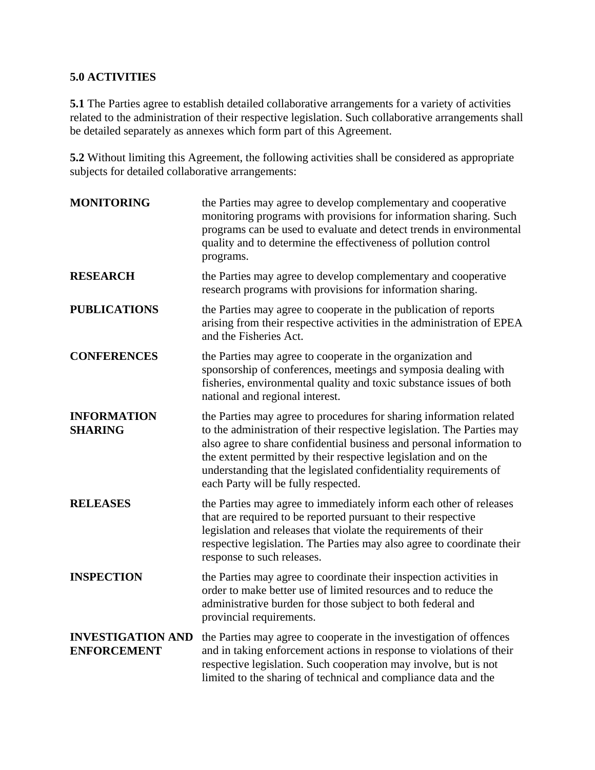## **5.0 ACTIVITIES**

**5.1** The Parties agree to establish detailed collaborative arrangements for a variety of activities related to the administration of their respective legislation. Such collaborative arrangements shall be detailed separately as annexes which form part of this Agreement.

**5.2** Without limiting this Agreement, the following activities shall be considered as appropriate subjects for detailed collaborative arrangements:

| <b>MONITORING</b>                              | the Parties may agree to develop complementary and cooperative<br>monitoring programs with provisions for information sharing. Such<br>programs can be used to evaluate and detect trends in environmental<br>quality and to determine the effectiveness of pollution control<br>programs.                                                                                                            |
|------------------------------------------------|-------------------------------------------------------------------------------------------------------------------------------------------------------------------------------------------------------------------------------------------------------------------------------------------------------------------------------------------------------------------------------------------------------|
| <b>RESEARCH</b>                                | the Parties may agree to develop complementary and cooperative<br>research programs with provisions for information sharing.                                                                                                                                                                                                                                                                          |
| <b>PUBLICATIONS</b>                            | the Parties may agree to cooperate in the publication of reports<br>arising from their respective activities in the administration of EPEA<br>and the Fisheries Act.                                                                                                                                                                                                                                  |
| <b>CONFERENCES</b>                             | the Parties may agree to cooperate in the organization and<br>sponsorship of conferences, meetings and symposia dealing with<br>fisheries, environmental quality and toxic substance issues of both<br>national and regional interest.                                                                                                                                                                |
| <b>INFORMATION</b><br><b>SHARING</b>           | the Parties may agree to procedures for sharing information related<br>to the administration of their respective legislation. The Parties may<br>also agree to share confidential business and personal information to<br>the extent permitted by their respective legislation and on the<br>understanding that the legislated confidentiality requirements of<br>each Party will be fully respected. |
| <b>RELEASES</b>                                | the Parties may agree to immediately inform each other of releases<br>that are required to be reported pursuant to their respective<br>legislation and releases that violate the requirements of their<br>respective legislation. The Parties may also agree to coordinate their<br>response to such releases.                                                                                        |
| <b>INSPECTION</b>                              | the Parties may agree to coordinate their inspection activities in<br>order to make better use of limited resources and to reduce the<br>administrative burden for those subject to both federal and<br>provincial requirements.                                                                                                                                                                      |
| <b>INVESTIGATION AND</b><br><b>ENFORCEMENT</b> | the Parties may agree to cooperate in the investigation of offences<br>and in taking enforcement actions in response to violations of their<br>respective legislation. Such cooperation may involve, but is not<br>limited to the sharing of technical and compliance data and the                                                                                                                    |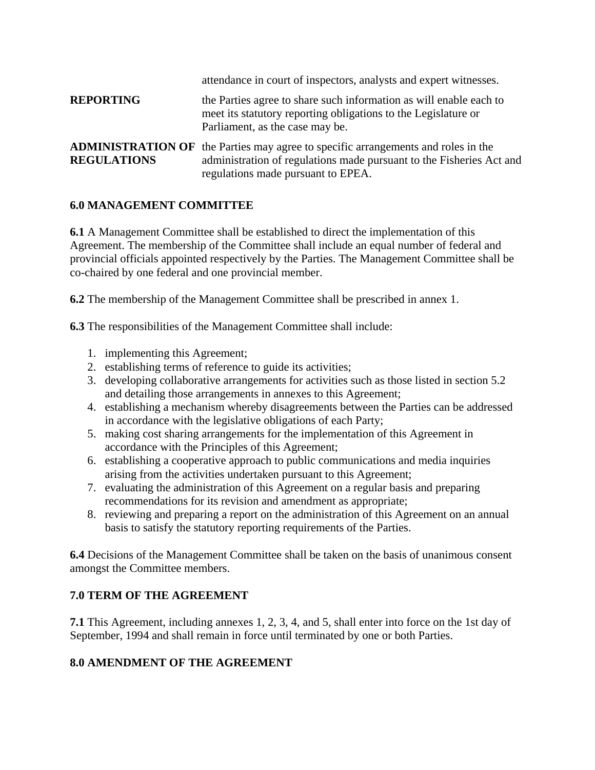| <b>REPORTING</b>   | attendance in court of inspectors, analysts and expert witnesses.<br>the Parties agree to share such information as will enable each to<br>meet its statutory reporting obligations to the Legislature or                                 |
|--------------------|-------------------------------------------------------------------------------------------------------------------------------------------------------------------------------------------------------------------------------------------|
| <b>REGULATIONS</b> | Parliament, as the case may be.<br><b>ADMINISTRATION OF</b> the Parties may agree to specific arrangements and roles in the<br>administration of regulations made pursuant to the Fisheries Act and<br>regulations made pursuant to EPEA. |

#### **6.0 MANAGEMENT COMMITTEE**

**6.1** A Management Committee shall be established to direct the implementation of this Agreement. The membership of the Committee shall include an equal number of federal and provincial officials appointed respectively by the Parties. The Management Committee shall be co-chaired by one federal and one provincial member.

**6.2** The membership of the Management Committee shall be prescribed in annex 1.

**6.3** The responsibilities of the Management Committee shall include:

- 1. implementing this Agreement;
- 2. establishing terms of reference to guide its activities;
- 3. developing collaborative arrangements for activities such as those listed in section 5.2 and detailing those arrangements in annexes to this Agreement;
- 4. establishing a mechanism whereby disagreements between the Parties can be addressed in accordance with the legislative obligations of each Party;
- 5. making cost sharing arrangements for the implementation of this Agreement in accordance with the Principles of this Agreement;
- 6. establishing a cooperative approach to public communications and media inquiries arising from the activities undertaken pursuant to this Agreement;
- 7. evaluating the administration of this Agreement on a regular basis and preparing recommendations for its revision and amendment as appropriate;
- 8. reviewing and preparing a report on the administration of this Agreement on an annual basis to satisfy the statutory reporting requirements of the Parties.

**6.4** Decisions of the Management Committee shall be taken on the basis of unanimous consent amongst the Committee members.

#### **7.0 TERM OF THE AGREEMENT**

**7.1** This Agreement, including annexes 1, 2, 3, 4, and 5, shall enter into force on the 1st day of September, 1994 and shall remain in force until terminated by one or both Parties.

# **8.0 AMENDMENT OF THE AGREEMENT**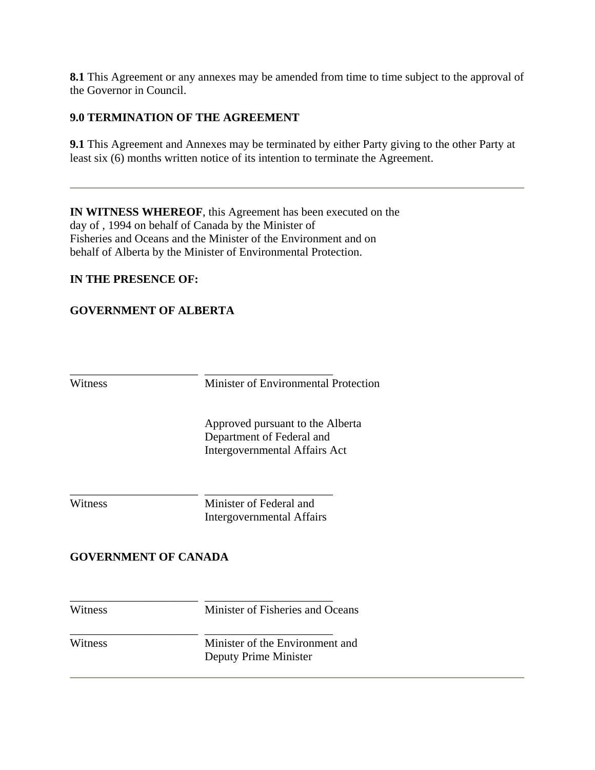**8.1** This Agreement or any annexes may be amended from time to time subject to the approval of the Governor in Council.

#### **9.0 TERMINATION OF THE AGREEMENT**

**9.1** This Agreement and Annexes may be terminated by either Party giving to the other Party at least six (6) months written notice of its intention to terminate the Agreement.

**IN WITNESS WHEREOF**, this Agreement has been executed on the day of , 1994 on behalf of Canada by the Minister of Fisheries and Oceans and the Minister of the Environment and on behalf of Alberta by the Minister of Environmental Protection.

#### **IN THE PRESENCE OF:**

\_\_\_\_\_\_\_\_\_\_\_\_\_\_\_\_\_\_\_\_\_\_

\_\_\_\_\_\_\_\_\_\_\_\_\_\_\_\_\_\_\_\_\_\_

\_\_\_\_\_\_\_\_\_\_\_\_\_\_\_\_\_\_\_\_\_\_

\_\_\_\_\_\_\_\_\_\_\_\_\_\_\_\_\_\_\_\_\_\_

#### **GOVERNMENT OF ALBERTA**

**Witness** 

Minister of Environmental Protection

\_\_\_\_\_\_\_\_\_\_\_\_\_\_\_\_\_\_\_\_\_\_

 Approved pursuant to the Alberta Department of Federal and Intergovernmental Affairs Act

Witness

Minister of Federal and Intergovernmental Affairs

\_\_\_\_\_\_\_\_\_\_\_\_\_\_\_\_\_\_\_\_\_\_

#### **GOVERNMENT OF CANADA**

Witness

Minister of Fisheries and Oceans

\_\_\_\_\_\_\_\_\_\_\_\_\_\_\_\_\_\_\_\_\_\_

Witness

\_\_\_\_\_\_\_\_\_\_\_\_\_\_\_\_\_\_\_\_\_\_ Minister of the Environment and Deputy Prime Minister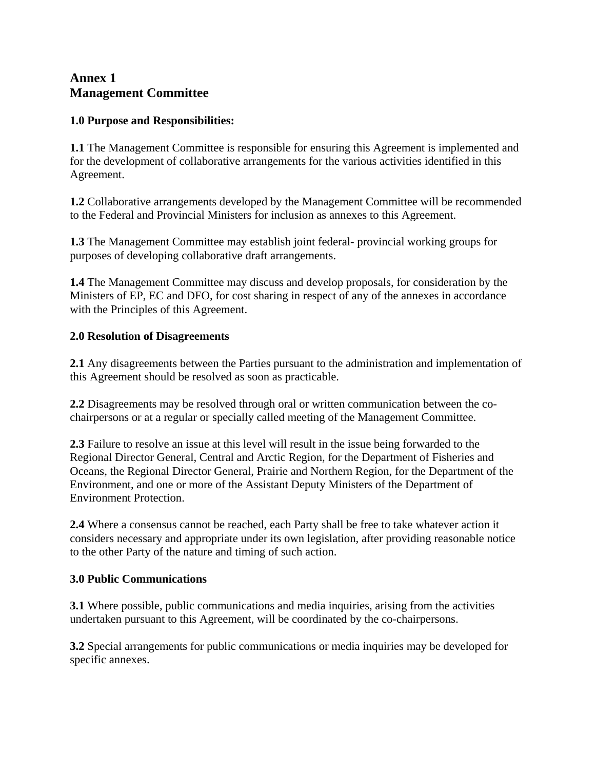# **Annex 1 Management Committee**

## **1.0 Purpose and Responsibilities:**

**1.1** The Management Committee is responsible for ensuring this Agreement is implemented and for the development of collaborative arrangements for the various activities identified in this Agreement.

**1.2** Collaborative arrangements developed by the Management Committee will be recommended to the Federal and Provincial Ministers for inclusion as annexes to this Agreement.

**1.3** The Management Committee may establish joint federal- provincial working groups for purposes of developing collaborative draft arrangements.

**1.4** The Management Committee may discuss and develop proposals, for consideration by the Ministers of EP, EC and DFO, for cost sharing in respect of any of the annexes in accordance with the Principles of this Agreement.

# **2.0 Resolution of Disagreements**

**2.1** Any disagreements between the Parties pursuant to the administration and implementation of this Agreement should be resolved as soon as practicable.

**2.2** Disagreements may be resolved through oral or written communication between the cochairpersons or at a regular or specially called meeting of the Management Committee.

**2.3** Failure to resolve an issue at this level will result in the issue being forwarded to the Regional Director General, Central and Arctic Region, for the Department of Fisheries and Oceans, the Regional Director General, Prairie and Northern Region, for the Department of the Environment, and one or more of the Assistant Deputy Ministers of the Department of Environment Protection.

**2.4** Where a consensus cannot be reached, each Party shall be free to take whatever action it considers necessary and appropriate under its own legislation, after providing reasonable notice to the other Party of the nature and timing of such action.

#### **3.0 Public Communications**

**3.1** Where possible, public communications and media inquiries, arising from the activities undertaken pursuant to this Agreement, will be coordinated by the co-chairpersons.

**3.2** Special arrangements for public communications or media inquiries may be developed for specific annexes.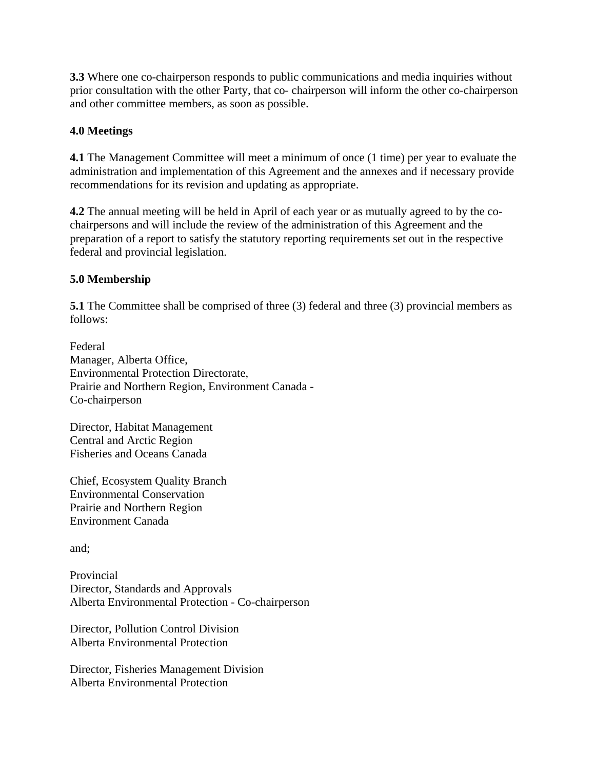**3.3** Where one co-chairperson responds to public communications and media inquiries without prior consultation with the other Party, that co- chairperson will inform the other co-chairperson and other committee members, as soon as possible.

#### **4.0 Meetings**

**4.1** The Management Committee will meet a minimum of once (1 time) per year to evaluate the administration and implementation of this Agreement and the annexes and if necessary provide recommendations for its revision and updating as appropriate.

**4.2** The annual meeting will be held in April of each year or as mutually agreed to by the cochairpersons and will include the review of the administration of this Agreement and the preparation of a report to satisfy the statutory reporting requirements set out in the respective federal and provincial legislation.

# **5.0 Membership**

**5.1** The Committee shall be comprised of three (3) federal and three (3) provincial members as follows:

Federal Manager, Alberta Office, Environmental Protection Directorate, Prairie and Northern Region, Environment Canada - Co-chairperson

Director, Habitat Management Central and Arctic Region Fisheries and Oceans Canada

Chief, Ecosystem Quality Branch Environmental Conservation Prairie and Northern Region Environment Canada

and;

Provincial Director, Standards and Approvals Alberta Environmental Protection - Co-chairperson

Director, Pollution Control Division Alberta Environmental Protection

Director, Fisheries Management Division Alberta Environmental Protection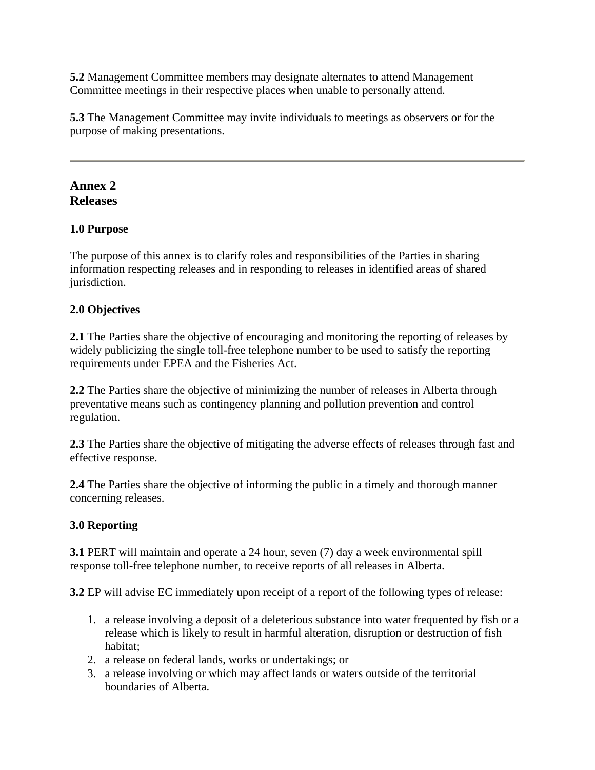**5.2** Management Committee members may designate alternates to attend Management Committee meetings in their respective places when unable to personally attend.

**5.3** The Management Committee may invite individuals to meetings as observers or for the purpose of making presentations.

# **Annex 2 Releases**

#### **1.0 Purpose**

The purpose of this annex is to clarify roles and responsibilities of the Parties in sharing information respecting releases and in responding to releases in identified areas of shared jurisdiction.

# **2.0 Objectives**

**2.1** The Parties share the objective of encouraging and monitoring the reporting of releases by widely publicizing the single toll-free telephone number to be used to satisfy the reporting requirements under EPEA and the Fisheries Act.

**2.2** The Parties share the objective of minimizing the number of releases in Alberta through preventative means such as contingency planning and pollution prevention and control regulation.

**2.3** The Parties share the objective of mitigating the adverse effects of releases through fast and effective response.

**2.4** The Parties share the objective of informing the public in a timely and thorough manner concerning releases.

#### **3.0 Reporting**

**3.1** PERT will maintain and operate a 24 hour, seven (7) day a week environmental spill response toll-free telephone number, to receive reports of all releases in Alberta.

**3.2** EP will advise EC immediately upon receipt of a report of the following types of release:

- 1. a release involving a deposit of a deleterious substance into water frequented by fish or a release which is likely to result in harmful alteration, disruption or destruction of fish habitat;
- 2. a release on federal lands, works or undertakings; or
- 3. a release involving or which may affect lands or waters outside of the territorial boundaries of Alberta.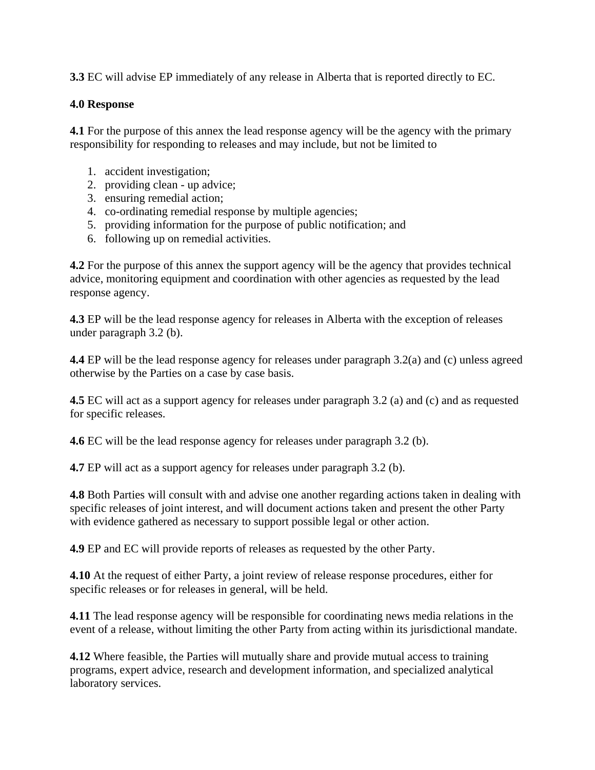**3.3** EC will advise EP immediately of any release in Alberta that is reported directly to EC.

#### **4.0 Response**

**4.1** For the purpose of this annex the lead response agency will be the agency with the primary responsibility for responding to releases and may include, but not be limited to

- 1. accident investigation;
- 2. providing clean up advice;
- 3. ensuring remedial action;
- 4. co-ordinating remedial response by multiple agencies;
- 5. providing information for the purpose of public notification; and
- 6. following up on remedial activities.

**4.2** For the purpose of this annex the support agency will be the agency that provides technical advice, monitoring equipment and coordination with other agencies as requested by the lead response agency.

**4.3** EP will be the lead response agency for releases in Alberta with the exception of releases under paragraph 3.2 (b).

**4.4** EP will be the lead response agency for releases under paragraph 3.2(a) and (c) unless agreed otherwise by the Parties on a case by case basis.

**4.5** EC will act as a support agency for releases under paragraph 3.2 (a) and (c) and as requested for specific releases.

**4.6** EC will be the lead response agency for releases under paragraph 3.2 (b).

**4.7** EP will act as a support agency for releases under paragraph 3.2 (b).

**4.8** Both Parties will consult with and advise one another regarding actions taken in dealing with specific releases of joint interest, and will document actions taken and present the other Party with evidence gathered as necessary to support possible legal or other action.

**4.9** EP and EC will provide reports of releases as requested by the other Party.

**4.10** At the request of either Party, a joint review of release response procedures, either for specific releases or for releases in general, will be held.

**4.11** The lead response agency will be responsible for coordinating news media relations in the event of a release, without limiting the other Party from acting within its jurisdictional mandate.

**4.12** Where feasible, the Parties will mutually share and provide mutual access to training programs, expert advice, research and development information, and specialized analytical laboratory services.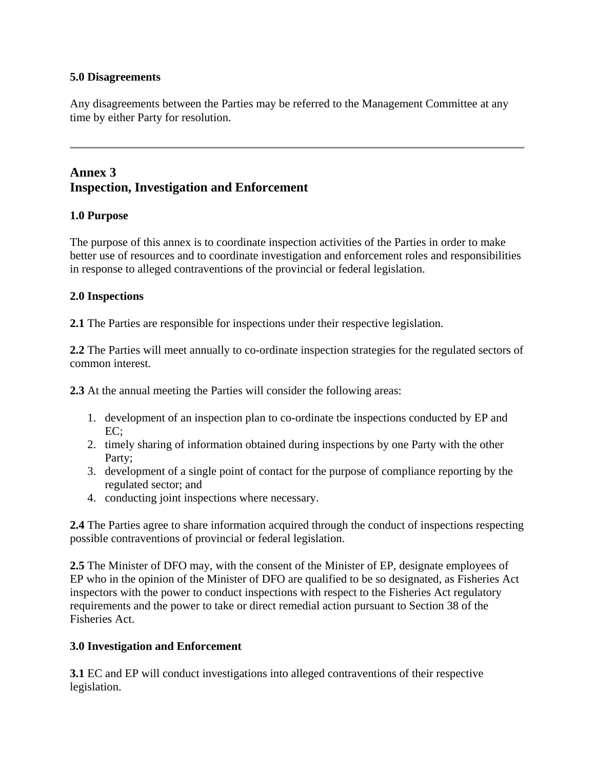#### **5.0 Disagreements**

Any disagreements between the Parties may be referred to the Management Committee at any time by either Party for resolution.

# **Annex 3 Inspection, Investigation and Enforcement**

#### **1.0 Purpose**

The purpose of this annex is to coordinate inspection activities of the Parties in order to make better use of resources and to coordinate investigation and enforcement roles and responsibilities in response to alleged contraventions of the provincial or federal legislation.

#### **2.0 Inspections**

**2.1** The Parties are responsible for inspections under their respective legislation.

**2.2** The Parties will meet annually to co-ordinate inspection strategies for the regulated sectors of common interest.

**2.3** At the annual meeting the Parties will consider the following areas:

- 1. development of an inspection plan to co-ordinate tbe inspections conducted by EP and  $EC:$
- 2. timely sharing of information obtained during inspections by one Party with the other Party;
- 3. development of a single point of contact for the purpose of compliance reporting by the regulated sector; and
- 4. conducting joint inspections where necessary.

**2.4** The Parties agree to share information acquired through the conduct of inspections respecting possible contraventions of provincial or federal legislation.

**2.5** The Minister of DFO may, with the consent of the Minister of EP, designate employees of EP who in the opinion of the Minister of DFO are qualified to be so designated, as Fisheries Act inspectors with the power to conduct inspections with respect to the Fisheries Act regulatory requirements and the power to take or direct remedial action pursuant to Section 38 of the Fisheries Act.

#### **3.0 Investigation and Enforcement**

**3.1** EC and EP will conduct investigations into alleged contraventions of their respective legislation.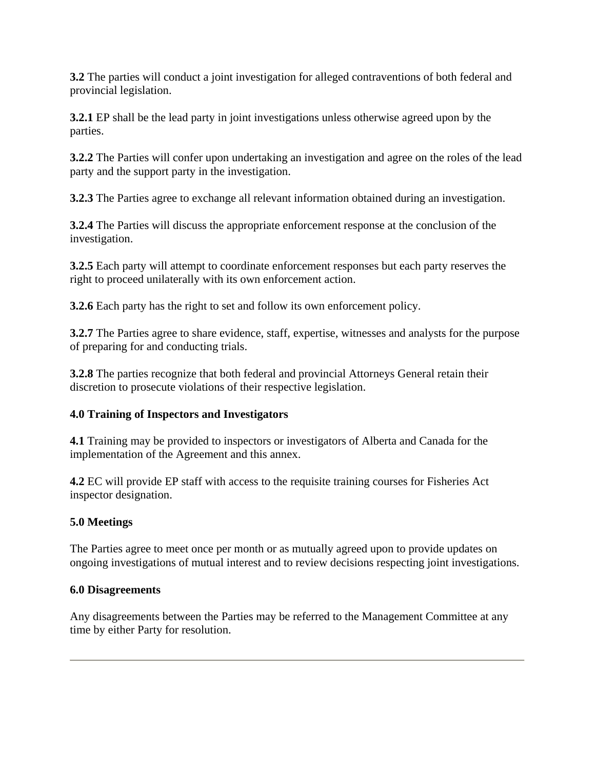**3.2** The parties will conduct a joint investigation for alleged contraventions of both federal and provincial legislation.

**3.2.1** EP shall be the lead party in joint investigations unless otherwise agreed upon by the parties.

**3.2.2** The Parties will confer upon undertaking an investigation and agree on the roles of the lead party and the support party in the investigation.

**3.2.3** The Parties agree to exchange all relevant information obtained during an investigation.

**3.2.4** The Parties will discuss the appropriate enforcement response at the conclusion of the investigation.

**3.2.5** Each party will attempt to coordinate enforcement responses but each party reserves the right to proceed unilaterally with its own enforcement action.

**3.2.6** Each party has the right to set and follow its own enforcement policy.

**3.2.7** The Parties agree to share evidence, staff, expertise, witnesses and analysts for the purpose of preparing for and conducting trials.

**3.2.8** The parties recognize that both federal and provincial Attorneys General retain their discretion to prosecute violations of their respective legislation.

# **4.0 Training of Inspectors and Investigators**

**4.1** Training may be provided to inspectors or investigators of Alberta and Canada for the implementation of the Agreement and this annex.

**4.2** EC will provide EP staff with access to the requisite training courses for Fisheries Act inspector designation.

# **5.0 Meetings**

The Parties agree to meet once per month or as mutually agreed upon to provide updates on ongoing investigations of mutual interest and to review decisions respecting joint investigations.

#### **6.0 Disagreements**

Any disagreements between the Parties may be referred to the Management Committee at any time by either Party for resolution.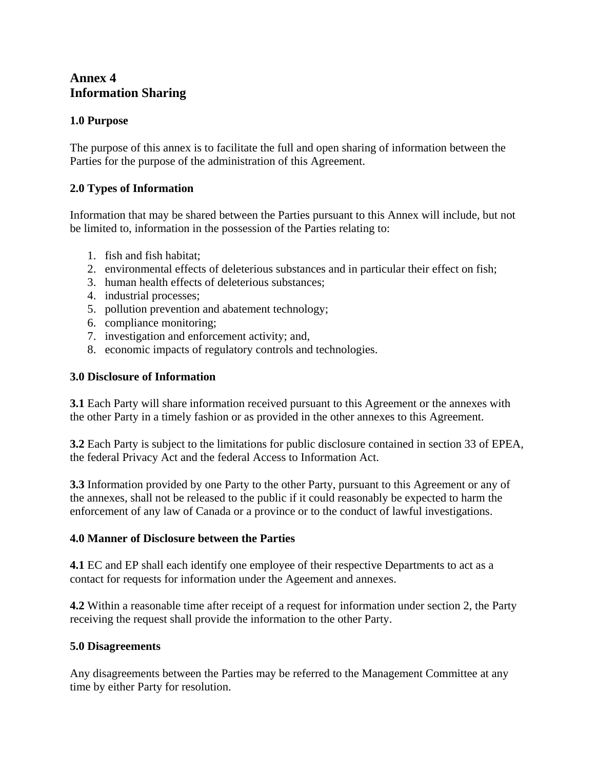# **Annex 4 Information Sharing**

## **1.0 Purpose**

The purpose of this annex is to facilitate the full and open sharing of information between the Parties for the purpose of the administration of this Agreement.

## **2.0 Types of Information**

Information that may be shared between the Parties pursuant to this Annex will include, but not be limited to, information in the possession of the Parties relating to:

- 1. fish and fish habitat;
- 2. environmental effects of deleterious substances and in particular their effect on fish;
- 3. human health effects of deleterious substances;
- 4. industrial processes;
- 5. pollution prevention and abatement technology;
- 6. compliance monitoring;
- 7. investigation and enforcement activity; and,
- 8. economic impacts of regulatory controls and technologies.

#### **3.0 Disclosure of Information**

**3.1** Each Party will share information received pursuant to this Agreement or the annexes with the other Party in a timely fashion or as provided in the other annexes to this Agreement.

**3.2** Each Party is subject to the limitations for public disclosure contained in section 33 of EPEA, the federal Privacy Act and the federal Access to Information Act.

**3.3** Information provided by one Party to the other Party, pursuant to this Agreement or any of the annexes, shall not be released to the public if it could reasonably be expected to harm the enforcement of any law of Canada or a province or to the conduct of lawful investigations.

#### **4.0 Manner of Disclosure between the Parties**

**4.1** EC and EP shall each identify one employee of their respective Departments to act as a contact for requests for information under the Ageement and annexes.

**4.2** Within a reasonable time after receipt of a request for information under section 2, the Party receiving the request shall provide the information to the other Party.

#### **5.0 Disagreements**

Any disagreements between the Parties may be referred to the Management Committee at any time by either Party for resolution.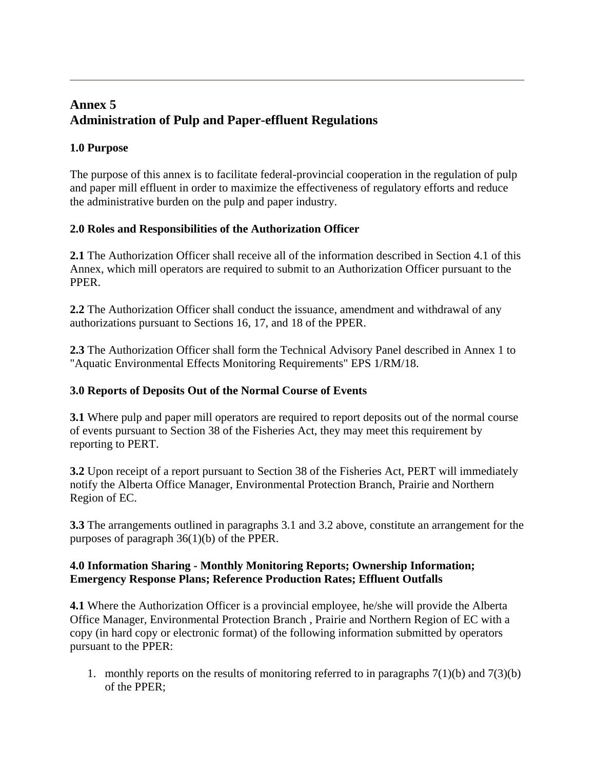# **Annex 5 Administration of Pulp and Paper-effluent Regulations**

# **1.0 Purpose**

The purpose of this annex is to facilitate federal-provincial cooperation in the regulation of pulp and paper mill effluent in order to maximize the effectiveness of regulatory efforts and reduce the administrative burden on the pulp and paper industry.

## **2.0 Roles and Responsibilities of the Authorization Officer**

**2.1** The Authorization Officer shall receive all of the information described in Section 4.1 of this Annex, which mill operators are required to submit to an Authorization Officer pursuant to the PPER.

**2.2** The Authorization Officer shall conduct the issuance, amendment and withdrawal of any authorizations pursuant to Sections 16, 17, and 18 of the PPER.

**2.3** The Authorization Officer shall form the Technical Advisory Panel described in Annex 1 to "Aquatic Environmental Effects Monitoring Requirements" EPS 1/RM/18.

## **3.0 Reports of Deposits Out of the Normal Course of Events**

**3.1** Where pulp and paper mill operators are required to report deposits out of the normal course of events pursuant to Section 38 of the Fisheries Act, they may meet this requirement by reporting to PERT.

**3.2** Upon receipt of a report pursuant to Section 38 of the Fisheries Act, PERT will immediately notify the Alberta Office Manager, Environmental Protection Branch, Prairie and Northern Region of EC.

**3.3** The arrangements outlined in paragraphs 3.1 and 3.2 above, constitute an arrangement for the purposes of paragraph 36(1)(b) of the PPER.

#### **4.0 Information Sharing - Monthly Monitoring Reports; Ownership Information; Emergency Response Plans; Reference Production Rates; Effluent Outfalls**

**4.1** Where the Authorization Officer is a provincial employee, he/she will provide the Alberta Office Manager, Environmental Protection Branch , Prairie and Northern Region of EC with a copy (in hard copy or electronic format) of the following information submitted by operators pursuant to the PPER:

1. monthly reports on the results of monitoring referred to in paragraphs  $7(1)(b)$  and  $7(3)(b)$ of the PPER;